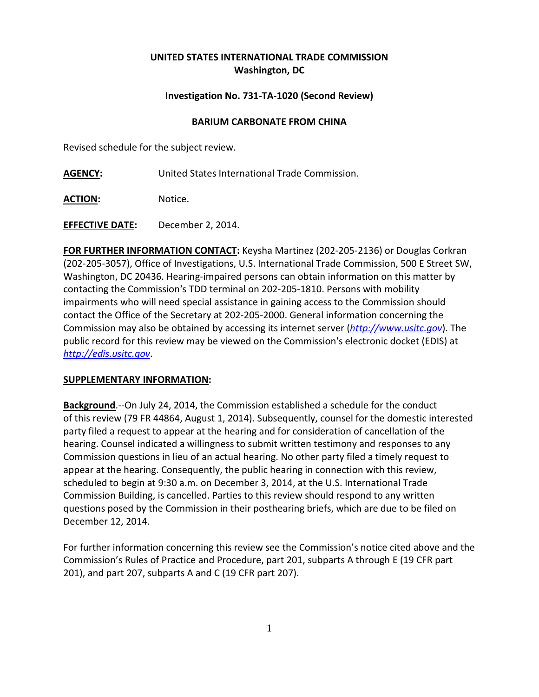## **UNITED STATES INTERNATIONAL TRADE COMMISSION Washington, DC**

## **Investigation No. 731-TA-1020 (Second Review)**

## **BARIUM CARBONATE FROM CHINA**

Revised schedule for the subject review.

**AGENCY:** United States International Trade Commission.

ACTION: Notice.

**EFFECTIVE DATE:** December 2, 2014.

**FOR FURTHER INFORMATION CONTACT:** Keysha Martinez (202-205-2136) or Douglas Corkran (202-205-3057), Office of Investigations, U.S. International Trade Commission, 500 E Street SW, Washington, DC 20436. Hearing-impaired persons can obtain information on this matter by contacting the Commission's TDD terminal on 202-205-1810. Persons with mobility impairments who will need special assistance in gaining access to the Commission should contact the Office of the Secretary at 202-205-2000. General information concerning the Commission may also be obtained by accessing its internet server (*[http://www.usitc.gov](http://www.usitc.gov/)*). The public record for this review may be viewed on the Commission's electronic docket (EDIS) at *[http://edis.usitc.gov](http://edis.usitc.gov/)*.

## **SUPPLEMENTARY INFORMATION:**

**Background**.--On July 24, 2014, the Commission established a schedule for the conduct of this review (79 FR 44864, August 1, 2014). Subsequently, counsel for the domestic interested party filed a request to appear at the hearing and for consideration of cancellation of the hearing. Counsel indicated a willingness to submit written testimony and responses to any Commission questions in lieu of an actual hearing. No other party filed a timely request to appear at the hearing. Consequently, the public hearing in connection with this review, scheduled to begin at 9:30 a.m. on December 3, 2014, at the U.S. International Trade Commission Building, is cancelled. Parties to this review should respond to any written questions posed by the Commission in their posthearing briefs, which are due to be filed on December 12, 2014.

For further information concerning this review see the Commission's notice cited above and the Commission's Rules of Practice and Procedure, part 201, subparts A through E (19 CFR part 201), and part 207, subparts A and C (19 CFR part 207).